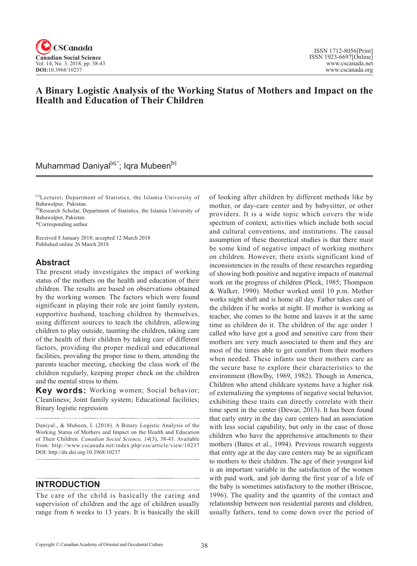

# **A Binary Logistic Analysis of the Working Status of Mothers and Impact on the Health and Education of Their Children**

# Muhammad Daniyal<sup>[a],\*</sup>; Iqra Mubeen<sup>[b]</sup>

[a]Lecturer, Department of Statistics, the Islamia University of Bahawalpur, Pakistan.

[b]Research Scholar, Department of Statistics, the Islamia University of Bahawalpur, Pakistan.

\*Corresponding author.

Received 8 January 2018; accepted 12 March 2018 Published online 26 March 2018

### **Abstract**

The present study investigates the impact of working status of the mothers on the health and education of their children. The results are based on observations obtained by the working women. The factors which were found significant in playing their role are joint family system, supportive husband, teaching children by themselves, using different sources to teach the children, allowing children to play outside, taunting the children, taking care of the health of their children by taking care of different factors, providing the proper medical and educational facilities, providing the proper time to them, attending the parents teacher meeting, checking the class work of the children regularly, keeping proper check on the children and the mental stress to them.

**Key words:** Working women; Social behavior; Cleanliness; Joint family system; Educational facilities; Binary logistic regression

Daniyal., & Mubeen, I. (2018). A Binary Logistic Analysis of the Working Status of Mothers and Impact on the Health and Education of Their Children. *Canadian Social Science*, <sup>14</sup>(3), 38-43. Available from: http://www.cscanada.net/index.php/css/article/view/10237 DOI: http://dx.doi.org/10.3968/10237

### **INTRODUCTION**

The care of the child is basically the caring and supervision of children and the age of children usually range from 6 weeks to 13 years. It is basically the skill of looking after children by different methods like by mother, or day-care center and by babysitter, or other providers. It is a wide topic which covers the wide spectrum of context, activities which include both social and cultural conventions, and institutions. The causal assumption of these theoretical studies is that there must be some kind of negative impact of working mothers on children. However, there exists significant kind of inconsistencies in the results of these researches regarding of showing both positive and negative impacts of maternal work on the progress of children (Pleck, 1985; Thompson & Walker, 1990). Mother worked until 10 p.m. Mother works night shift and is home all day. Father takes care of the children if he works at night. If mother is working as teacher, she comes to the home and leaves it at the same time as children do it. The children of the age under 1 called who have got a good and sensitive care from their mothers are very much associated to them and they are most of the times able to get comfort from their mothers when needed. These infants use their mothers care as the secure base to explore their characteristics to the environment (Bowlby, 1969, 1982). Though in America, Children who attend childcare systems have a higher risk of externalizing the symptoms of negative social behavior, exhibiting these traits can directly correlate with their time spent in the center (Dewar, 2013). It has been found that early entry in the day care centers had an association with less social capability, but only in the case of those children who have the apprehensive attachments to their mothers (Bates et al., 1994). Previous research suggests that entry age at the day care centers may be as significant to mothers to their children. The age of their youngest kid is an important variable in the satisfaction of the women with paid work, and job during the first year of a life of the baby is sometimes satisfactory to the mother (Briscoe, 1996). The quality and the quantity of the contact and relationship between non residential parents and children, usually fathers, tend to come down over the period of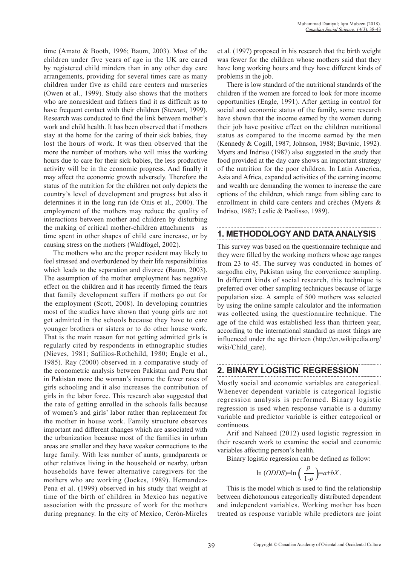time (Amato & Booth, 1996; Baum, 2003). Most of the children under five years of age in the UK are cared by registered child minders than in any other day care arrangements, providing for several times care as many children under five as child care centers and nurseries (Owen et al., 1999). Study also shows that the mothers who are nonresident and fathers find it as difficult as to have frequent contact with their children (Stewart, 1999). Research was conducted to find the link between mother's work and child health. It has been observed that if mothers stay at the home for the caring of their sick babies, they lost the hours of work. It was then observed that the more the number of mothers who will miss the working hours due to care for their sick babies, the less productive activity will be in the economic progress. And finally it may affect the economic growth adversely. Therefore the status of the nutrition for the children not only depicts the country's level of development and progress but also it determines it in the long run (de Onis et al., 2000). The employment of the mothers may reduce the quality of interactions between mother and children by disturbing the making of critical mother-children attachments—as time spent in other shapes of child care increase, or by causing stress on the mothers (Waldfogel, 2002).

The mothers who are the proper resident may likely to feel stressed and overburdened by their life responsibilities which leads to the separation and divorce (Baum, 2003). The assumption of the mother employment has negative effect on the children and it has recently firmed the fears that family development suffers if mothers go out for the employment (Scott, 2008). In developing countries most of the studies have shown that young girls are not get admitted in the schools because they have to care younger brothers or sisters or to do other house work. That is the main reason for not getting admitted girls is regularly cited by respondents in ethnographic studies (Nieves, 1981; Safilios-Rothchild, 1980; Engle et al., 1985). Ray (2000) observed in a comparative study of the econometric analysis between Pakistan and Peru that in Pakistan more the woman's income the fewer rates of girls schooling and it also increases the contribution of girls in the labor force. This research also suggested that the rate of getting enrolled in the schools falls because of women's and girls' labor rather than replacement for the mother in house work. Family structure observes important and different changes which are associated with the urbanization because most of the families in urban areas are smaller and they have weaker connections to the large family. With less number of aunts, grandparents or other relatives living in the household or nearby, urban households have fewer alternative caregivers for the mothers who are working (Joekes, 1989). Hernandez-Pena et al. (1999) observed in his study that weight at time of the birth of children in Mexico has negative association with the pressure of work for the mothers during pregnancy. In the city of Mexico, Cerón-Mireles

et al. (1997) proposed in his research that the birth weight was fewer for the children whose mothers said that they have long working hours and they have different kinds of problems in the job.

There is low standard of the nutritional standards of the children if the women are forced to look for more income opportunities (Engle, 1991). After getting in control for social and economic status of the family, some research have shown that the income earned by the women during their job have positive effect on the children nutritional status as compared to the income earned by the men (Kennedy & Cogill, 1987; Johnson, 1988; Buvinic, 1992). Myers and Indriso (1987) also suggested in the study that food provided at the day care shows an important strategy of the nutrition for the poor children. In Latin America, Asia and Africa, expanded activities of the earning income and wealth are demanding the women to increase the care options of the children, which range from sibling care to enrollment in child care centers and crèches (Myers & Indriso, 1987; Leslie & Paolisso, 1989).

## **1. METHODOLOGY AND DATA ANALYSIS**

This survey was based on the questionnaire technique and they were filled by the working mothers whose age ranges from 23 to 45. The survey was conducted in homes of sargodha city, Pakistan using the convenience sampling. In different kinds of social research, this technique is preferred over other sampling techniques because of large population size. A sample of 500 mothers was selected by using the online sample calculator and the information was collected using the questionnaire technique. The age of the child was established less than thirteen year, according to the international standard as most things are influenced under the age thirteen (http://en.wikipedia.org/ wiki/Child care).

## **2. BINARY LOGISTIC REGRESSION**

Mostly social and economic variables are categorical. Whenever dependent variable is categorical logistic regression analysis is performed. Binary logistic regression is used when response variable is a dummy variable and predictor variable is either categorical or continuous.

Arif and Naheed (2012) used logistic regression in their research work to examine the social and economic variables affecting person's health.

Binary logistic regression can be defined as follow:

$$
\ln (ODDS)=\ln \left(\frac{p}{1-p}\right)=a+bX.
$$

This is the model which is used to find the relationship between dichotomous categorically distributed dependent and independent variables. Working mother has been treated as response variable while predictors are joint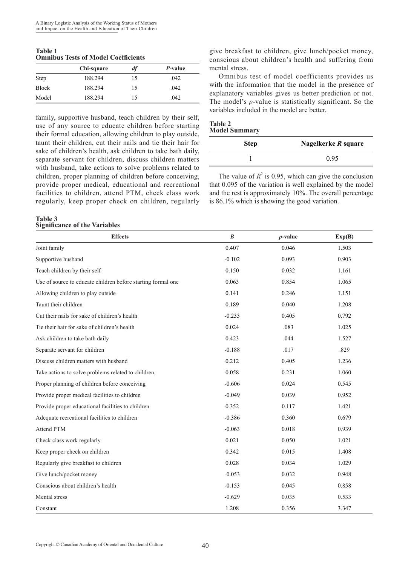**Table 1 Omnibus Tests of Model Coefficients**

| $\sim$ 1111110 My 2 Vy V, V1 112 V M V1 U V V 112 V 1 V 1 V 1 V |            |    |                 |  |
|-----------------------------------------------------------------|------------|----|-----------------|--|
|                                                                 | Chi-square | df | <i>P</i> -value |  |
| Step                                                            | 188.294    | 15 | .042            |  |
| <b>Block</b>                                                    | 188.294    | 15 | .042            |  |
| Model                                                           | 188.294    | 15 | .042            |  |

family, supportive husband, teach children by their self, use of any source to educate children before starting their formal education, allowing children to play outside, taunt their children, cut their nails and tie their hair for sake of children's health, ask children to take bath daily, separate servant for children, discuss children matters with husband, take actions to solve problems related to children, proper planning of children before conceiving, provide proper medical, educational and recreational facilities to children, attend PTM, check class work regularly, keep proper check on children, regularly

#### **Table 3 Significance of the Variables**

give breakfast to children, give lunch/pocket money, conscious about children's health and suffering from mental stress.

Omnibus test of model coefficients provides us with the information that the model in the presence of explanatory variables gives us better prediction or not. The model's *p*-value is statistically significant. So the variables included in the model are better.

#### **Table 2 Model Summary**

| <b>Step</b> | Nagelkerke $R$ square |  |
|-------------|-----------------------|--|
|             | 0.95                  |  |

The value of  $R^2$  is 0.95, which can give the conclusion that 0.095 of the variation is well explained by the model and the rest is approximately 10%. The overall percentage is 86.1% which is showing the good variation.

| <b>Effects</b>                                               | $\boldsymbol{B}$ | $p$ -value | Exp(B) |
|--------------------------------------------------------------|------------------|------------|--------|
| Joint family                                                 | 0.407            | 0.046      | 1.503  |
| Supportive husband                                           | $-0.102$         | 0.093      | 0.903  |
| Teach children by their self                                 | 0.150            | 0.032      | 1.161  |
| Use of source to educate children before starting formal one | 0.063            | 0.854      | 1.065  |
| Allowing children to play outside                            | 0.141            | 0.246      | 1.151  |
| Taunt their children                                         | 0.189            | 0.040      | 1.208  |
| Cut their nails for sake of children's health                | $-0.233$         | 0.405      | 0.792  |
| Tie their hair for sake of children's health                 | 0.024            | .083       | 1.025  |
| Ask children to take bath daily                              | 0.423            | .044       | 1.527  |
| Separate servant for children                                | $-0.188$         | .017       | .829   |
| Discuss children matters with husband                        | 0.212            | 0.405      | 1.236  |
| Take actions to solve problems related to children,          | 0.058            | 0.231      | 1.060  |
| Proper planning of children before conceiving                | $-0.606$         | 0.024      | 0.545  |
| Provide proper medical facilities to children                | $-0.049$         | 0.039      | 0.952  |
| Provide proper educational facilities to children            | 0.352            | 0.117      | 1.421  |
| Adequate recreational facilities to children                 | $-0.386$         | 0.360      | 0.679  |
| Attend PTM                                                   | $-0.063$         | 0.018      | 0.939  |
| Check class work regularly                                   | 0.021            | 0.050      | 1.021  |
| Keep proper check on children                                | 0.342            | 0.015      | 1.408  |
| Regularly give breakfast to children                         | 0.028            | 0.034      | 1.029  |
| Give lunch/pocket money                                      | $-0.053$         | 0.032      | 0.948  |
| Conscious about children's health                            | $-0.153$         | 0.045      | 0.858  |
| Mental stress                                                | $-0.629$         | 0.035      | 0.533  |
| Constant                                                     | 1.208            | 0.356      | 3.347  |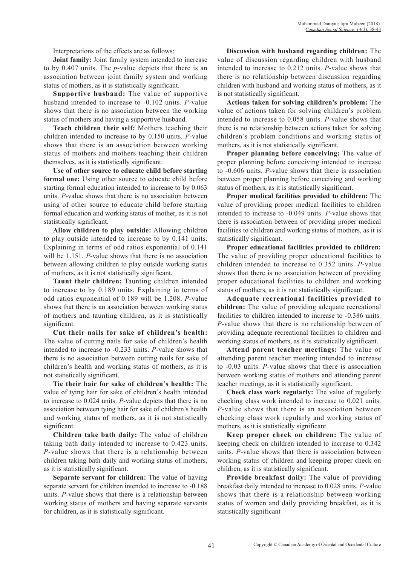Interpretations of the effects are as follows:

**Joint family:** Joint family system intended to increase to by 0.407 units. The *p*-value depicts that there is an association between joint family system and working status of mothers, as it is statistically significant.

**Supportive husband:** The value of supportive husband intended to increase to -0.102 units. *P*-value shows that there is no association between the working status of mothers and having a supportive husband.

**Teach children their self:** Mothers teaching their children intended to increase to by 0.150 units. *P*-value shows that there is an association between working status of mothers and mothers teaching their children themselves, as it is statistically significant.

**Use of other source to educate child before starting formal one:** Using other source to educate child before starting formal education intended to increase to by 0.063 units. *P*-value shows that there is no association between using of other source to educate child before starting formal education and working status of mother, as it is not statistically significant.

**Allow children to play outside:** Allowing children to play outside intended to increase to by 0.141 units. Explaining in terms of odd ratios exponential of 0.141 will be 1.151. *P*-value shows that there is no association between allowing children to play outside working status of mothers, as it is not statistically significant.

**Taunt their children:** Taunting children intended to increase to by 0.189 units. Explaining in terms of odd ratios exponential of 0.189 will be 1.208. *P*-value shows that there is an association between working status of mothers and taunting children, as it is statistically significant.

**Cut their nails for sake of children's health:**  The value of cutting nails for sake of children's health intended to increase to -0.233 units. *P*-value shows that there is no association between cutting nails for sake of children's health and working status of mothers, as it is not statistically significant.

**Tie their hair for sake of children's health:** The value of tying hair for sake of children's health intended to increase to 0.024 units. *P*-value depicts that there is no association between tying hair for sake of children's health and working status of mothers, as it is not statistically significant.

**Children take bath daily:** The value of children taking bath daily intended to increase to 0.423 units. *P*-value shows that there is a relationship between children taking bath daily and working status of mothers, as it is statistically significant.

**Separate servant for children:** The value of having separate servant for children intended to increase to -0.188 units. *P*-value shows that there is a relationship between working status of mothers and having separate servants for children, as it is statistically significant.

**Discussion with husband regarding children:** The value of discussion regarding children with husband intended to increase to 0.212 units. *P*-value shows that there is no relationship between discussion regarding children with husband and working status of mothers, as it is not statistically significant.

**Actions taken for solving children's problem:** The value of actions taken for solving children's problem intended to increase to 0.058 units. *P*-value shows that there is no relationship between actions taken for solving children's problem conditions and working status of mothers, as it is not statistically significant.

**Proper planning before conceiving:** The value of proper planning before conceiving intended to increase to -0.606 units. *P*-value shows that there is association between proper planning before conceiving and working status of mothers, as it is statistically significant.

**Proper medical facilities provided to children:** The value of providing proper medical facilities to children intended to increase to -0.049 units. *P*-value shows that there is association between of providing proper medical facilities to children and working status of mothers, as it is statistically significant.

**Proper educational facilities provided to children:**  The value of providing proper educational facilities to children intended to increase to 0.352 units. *P*-value shows that there is no association between of providing proper educational facilities to children and working status of mothers, as it is not statistically significant.

**Adequate recreational facilities provided to children:** The value of providing adequate recreational facilities to children intended to increase to -0.386 units. *P*-value shows that there is no relationship between of providing adequate recreational facilities to children and working status of mothers, as it is statistically significant.

**Attend parent teacher meetings:** The value of attending parent teacher meeting intended to increase to -0.03 units. *P*-value shows that there is association between working status of mothers and attending parent teacher meetings, as it is statistically significant.

**Check class work regularly:** The value of regularly checking class work intended to increase to 0.021 units. *P*-value shows that there is an association between checking class work regularly and working status of mothers, as it is statistically significant.

**Keep proper check on children:** The value of keeping check on children intended to increase to 0.342 units. *P*-value shows that there is association between working status of children and keeping proper check on children, as it is statistically significant.

**Provide breakfast daily:** The value of providing breakfast daily intended to increase to 0.028 units. *P*-value shows that there is a relationship between working status of women and daily providing breakfast, as it is statistically significant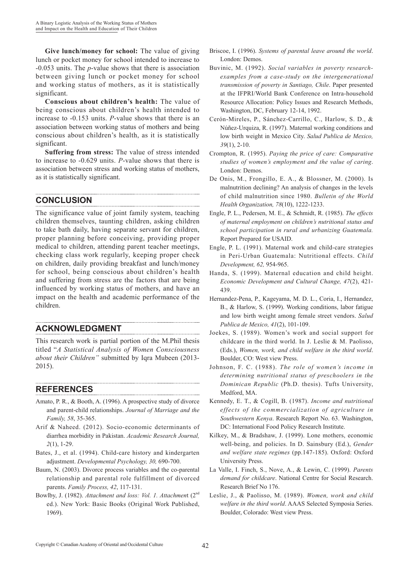**Give lunch/money for school:** The value of giving lunch or pocket money for school intended to increase to -0.053 units. The *p*-value shows that there is association between giving lunch or pocket money for school and working status of mothers, as it is statistically significant.

**Conscious about children's health:** The value of being conscious about children's health intended to increase to -0.153 units. *P*-value shows that there is an association between working status of mothers and being conscious about children's health, as it is statistically significant.

**Suffering from stress:** The value of stress intended to increase to -0.629 units. *P*-value shows that there is association between stress and working status of mothers, as it is statistically significant.

# **CONCLUSION**

The significance value of joint family system, teaching children themselves, taunting children, asking children to take bath daily, having separate servant for children, proper planning before conceiving, providing proper medical to children, attending parent teacher meetings, checking class work regularly, keeping proper check on children, daily providing breakfast and lunch/money for school, being conscious about children's health and suffering from stress are the factors that are being influenced by working status of mothers, and have an impact on the health and academic performance of the children.

### **ACKNOWLEDGMENT**

This research work is partial portion of the M.Phil thesis titled "*A Statistical Analysis of Women Consciousness about their Children"* submitted by Iqra Mubeen (2013- 2015).

## **REFERENCES**

- Amato, P. R., & Booth, A. (1996). A prospective study of divorce and parent-child relationships. *Journal of Marriage and the Family, 58*, 35-365.
- Arif & Naheed. (2012). Socio-economic determinants of diarrhea morbidity in Pakistan. *Academic Research Journal, 2*(1), 1-29.
- Bates, J., et al. (1994). Child-care history and kindergarten adjustment. *Developmental Psychology, 30,* 690-700.
- Baum, N. (2003). Divorce process variables and the co-parental relationship and parental role fulfillment of divorced parents. *Family Process, 42*, 117-131.
- Bowlby, J. (1982). *Attachment and loss: Vol. 1. Attachment* (2<sup>nd</sup> ed.). New York: Basic Books (Original Work Published, 1969).
- Briscoe, I. (1996). *Systems of parental leave around the world*. London: Demos.
- Buvinic, M. (1992). *Social variables in poverty researchexamples from a case-study on the intergenerational transmission of poverty in Santiago, Chile*. Paper presented at the IFPRI/World Bank Conference on Intra-household Resource Allocation: Policy Issues and Research Methods, Washington, DC, February 12-14, 1992.
- Cerón-Mireles, P., Sánchez-Carrillo, C., Harlow, S. D., & Núñez-Urquiza, R. (1997). Maternal working conditions and low birth weight in Mexico City. *Salud Publica de Mexico, 39*(1), 2-10.
- Crompton, R. (1995). *Paying the price of care: Comparative studies of women's employment and the value of caring*. London: Demos.
- De Onis, M., Frongillo, E. A., & Blossner, M. (2000). Is malnutrition declining? An analysis of changes in the levels of child malnutrition since 1980. *Bulletin of the World Health Organization, 78*(10), 1222-1233.
- Engle, P. L., Pedersen, M. E., & Schmidt, R. (1985). *The effects of maternal employment on children's nutritional status and school participation in rural and urbanizing Guatemala.*  Report Prepared for USAID.
- Engle, P. L. (1991). Maternal work and child-care strategies in Peri-Urban Guatemala: Nutritional effects. *Child Development, 62,* 954-965.
- Handa, S. (1999). Maternal education and child height. *Economic Development and Cultural Change, 47*(2), 421- 439.
- Hernandez-Pena, P., Kageyama, M. D. L., Coria, I., Hernandez, B., & Harlow, S. (1999). Working conditions, labor fatigue and low birth weight among female street vendors. *Salud Publica de Mexico, 41*(2), 101-109.
- Joekes, S. (1989). Women's work and social support for childcare in the third world. In J. Leslie & M. Paolisso, (Eds.), *Women, work, and child welfare in the third world*. Boulder, CO: West view Press.
- Johnson, F. C. (1988). *The role of women's income in determining nutritional status of preschoolers in the Dominican Republic* (Ph.D. thesis). Tufts University, Medford, MA.
- Kennedy, E. T., & Cogill, B. (1987). *Income and nutritional effects of the commercialization of agriculture in Southwestern Kenya*. Research Report No. 63. Washington, DC: International Food Policy Research Institute.
- Kilkey, M., & Bradshaw, J. (1999). Lone mothers, economic well-being, and policies. In D. Sainsbury (Ed.), *Gender and welfare state regimes* (pp.147-185). Oxford: Oxford University Press.
- La Valle, I. Finch, S., Nove, A., & Lewin, C. (1999). *Parents demand for childcare*. National Centre for Social Research. Research Brief No 176.
- Leslie, J., & Paolisso, M. (1989). *Women, work and child welfare in the third world*. AAAS Selected Symposia Series. Boulder, Colorado: West view Press.